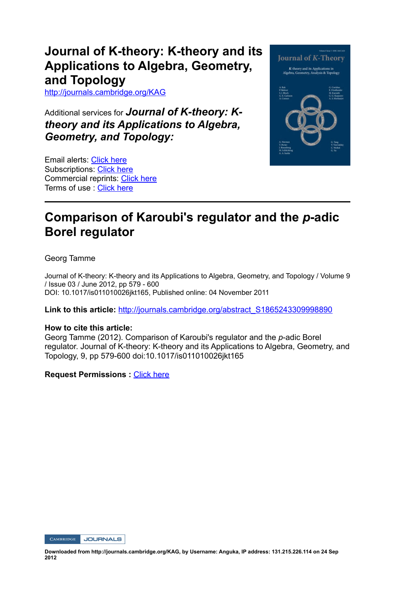# **Journal of K-theory: K-theory and its Applications to Algebra, Geometry, and Topology**

http://journals.cambridge.org/KAG

Additional services for Journal of K-theory: K*theory and its Applications to Algebra, Geometry, and Topology:*

Email alerts: Click here Subscriptions: Click here Commercial reprints: Click here Terms of use : Click here



# **Comparison of Karoubi's regulator and the** *p***adic Borel regulator**

Georg Tamme

Journal of K-theory: K-theory and its Applications to Algebra, Geometry, and Topology / Volume 9 / Issue 03 / June 2012, pp 579 - 600 DOI: 10.1017/is011010026jkt165, Published online: 04 November 2011

**Link to this article:** http://journals.cambridge.org/abstract\_S1865243309998890

#### **How to cite this article:**

Georg Tamme (2012). Comparison of Karoubi's regulator and the *p*-adic Borel regulator. Journal of K-theory: K-theory and its Applications to Algebra, Geometry, and Topology, 9, pp 579-600 doi:10.1017/is011010026jkt165

**Request Permissions :** Click here

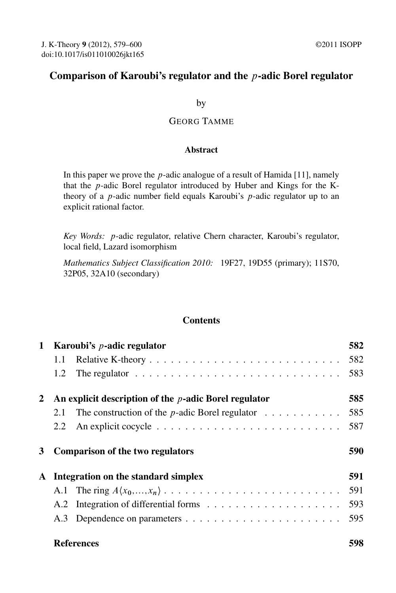## Comparison of Karoubi's regulator and the p-adic Borel regulator

by

## GEORG TAMME

#### Abstract

In this paper we prove the  $p$ -adic analogue of a result of Hamida [11], namely that the p-adic Borel regulator introduced by Huber and Kings for the Ktheory of a  $p$ -adic number field equals Karoubi's  $p$ -adic regulator up to an explicit rational factor.

*Key Words:* p-adic regulator, relative Chern character, Karoubi's regulator, local field, Lazard isomorphism

*Mathematics Subject Classification 2010:* 19F27, 19D55 (primary); 11S70, 32P05, 32A10 (secondary)

### **Contents**

| $\mathbf{1}$ |     | Karoubi's $p$ -adic regulator                                                        | 582 |
|--------------|-----|--------------------------------------------------------------------------------------|-----|
|              | 1.1 |                                                                                      |     |
|              | 1.2 | The regulator $\ldots \ldots \ldots \ldots \ldots \ldots \ldots \ldots \ldots$       | 583 |
| 2            |     | An explicit description of the $p$ -adic Borel regulator                             | 585 |
|              | 2.1 | The construction of the <i>p</i> -adic Borel regulator $\ldots \ldots \ldots \ldots$ | 585 |
|              | 2.2 |                                                                                      | 587 |
| 3            |     | <b>Comparison of the two regulators</b>                                              | 590 |
|              |     |                                                                                      |     |
|              |     | A Integration on the standard simplex                                                | 591 |
|              |     |                                                                                      | 591 |
|              |     |                                                                                      | 593 |

## References 598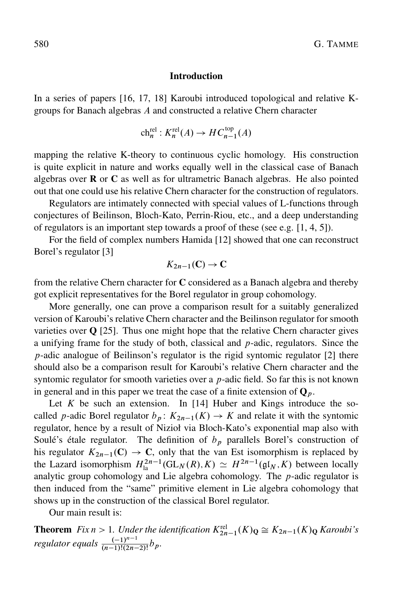#### Introduction

In a series of papers [16, 17, 18] Karoubi introduced topological and relative Kgroups for Banach algebras A and constructed a relative Chern character

$$
ch_n^{\text{rel}}: K_n^{\text{rel}}(A) \to HC_{n-1}^{\text{top}}(A)
$$

mapping the relative K-theory to continuous cyclic homology. His construction is quite explicit in nature and works equally well in the classical case of Banach algebras over  **or**  $**C**$  **as well as for ultrametric Banach algebras. He also pointed** out that one could use his relative Chern character for the construction of regulators.

Regulators are intimately connected with special values of L-functions through conjectures of Beilinson, Bloch-Kato, Perrin-Riou, etc., and a deep understanding of regulators is an important step towards a proof of these (see e.g. [1, 4, 5]).

For the field of complex numbers Hamida [12] showed that one can reconstruct Borel's regulator [3]

$$
K_{2n-1}(\mathbf{C}) \to \mathbf{C}
$$

from the relative Chern character for  $C$  considered as a Banach algebra and thereby got explicit representatives for the Borel regulator in group cohomology.

More generally, one can prove a comparison result for a suitably generalized version of Karoubi's relative Chern character and the Beilinson regulator for smooth varieties over  $Q$  [25]. Thus one might hope that the relative Chern character gives a unifying frame for the study of both, classical and  $p$ -adic, regulators. Since the  $p$ -adic analogue of Beilinson's regulator is the rigid syntomic regulator [2] there should also be a comparison result for Karoubi's relative Chern character and the syntomic regulator for smooth varieties over a  $p$ -adic field. So far this is not known in general and in this paper we treat the case of a finite extension of  $\mathbf{Q}_p$ .

Let  $K$  be such an extension. In [14] Huber and Kings introduce the socalled *p*-adic Borel regulator  $b_p: K_{2n-1}(K) \to K$  and relate it with the syntomic regulator, hence by a result of Nizioł via Bloch-Kato's exponential map also with Soulé's étale regulator. The definition of  $b<sub>p</sub>$  parallels Borel's construction of his regulator  $K_{2n-1}(\mathbb{C}) \to \mathbb{C}$ , only that the van Est isomorphism is replaced by the Lazard isomorphism  $H_{1a}^{2n-1}(\text{GL}_N(R), K) \simeq H^{2n-1}(\mathfrak{gl}_N, K)$  between locally analytic group cohomology and Lie algebra cohomology. The  $p$ -adic regulator is then induced from the "same" primitive element in Lie algebra cohomology that shows up in the construction of the classical Borel regulator.

Our main result is:

**Theorem** *Fix*  $n > 1$ *. Under the identification*  $K_{2n-1}^{rel}(K)_{\mathbf{Q}} \cong K_{2n-1}(K)_{\mathbf{Q}}$  *Karoubi's regulator equals*  $\frac{(-1)^{n-1}}{(n-1)!(2n-1)}$  $\frac{(-1)^n}{(n-1)!(2n-2)!}b_p.$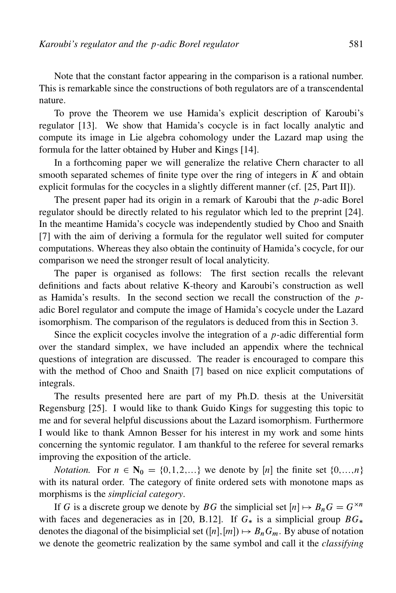Note that the constant factor appearing in the comparison is a rational number. This is remarkable since the constructions of both regulators are of a transcendental nature.

To prove the Theorem we use Hamida's explicit description of Karoubi's regulator [13]. We show that Hamida's cocycle is in fact locally analytic and compute its image in Lie algebra cohomology under the Lazard map using the formula for the latter obtained by Huber and Kings [14].

In a forthcoming paper we will generalize the relative Chern character to all smooth separated schemes of finite type over the ring of integers in  $K$  and obtain explicit formulas for the cocycles in a slightly different manner (cf. [25, Part II]).

The present paper had its origin in a remark of Karoubi that the  $p$ -adic Borel regulator should be directly related to his regulator which led to the preprint [24]. In the meantime Hamida's cocycle was independently studied by Choo and Snaith [7] with the aim of deriving a formula for the regulator well suited for computer computations. Whereas they also obtain the continuity of Hamida's cocycle, for our comparison we need the stronger result of local analyticity.

The paper is organised as follows: The first section recalls the relevant definitions and facts about relative K-theory and Karoubi's construction as well as Hamida's results. In the second section we recall the construction of the padic Borel regulator and compute the image of Hamida's cocycle under the Lazard isomorphism. The comparison of the regulators is deduced from this in Section 3.

Since the explicit cocycles involve the integration of a  $p$ -adic differential form over the standard simplex, we have included an appendix where the technical questions of integration are discussed. The reader is encouraged to compare this with the method of Choo and Snaith [7] based on nice explicit computations of integrals.

The results presented here are part of my Ph.D. thesis at the Universität Regensburg [25]. I would like to thank Guido Kings for suggesting this topic to me and for several helpful discussions about the Lazard isomorphism. Furthermore I would like to thank Amnon Besser for his interest in my work and some hints concerning the syntomic regulator. I am thankful to the referee for several remarks improving the exposition of the article.

*Notation.* For  $n \in \mathbb{N}_0 = \{0, 1, 2, ...\}$  we denote by [n] the finite set  $\{0, \ldots, n\}$ with its natural order. The category of finite ordered sets with monotone maps as morphisms is the *simplicial category*.

If G is a discrete group we denote by BG the simplicial set  $[n] \mapsto B_nG = G^{\times n}$ with faces and degeneracies as in [20, B.12]. If  $G_*$  is a simplicial group  $BG_*$ denotes the diagonal of the bisimplicial set ([n],[m])  $\mapsto$   $B_nG_m$ . By abuse of notation we denote the geometric realization by the same symbol and call it the *classifying*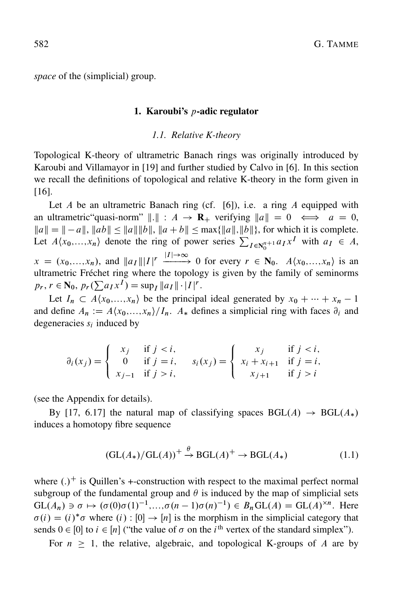*space* of the (simplicial) group.

#### 1. Karoubi's  $p$ -adic regulator

#### *1.1. Relative K-theory*

Topological K-theory of ultrametric Banach rings was originally introduced by Karoubi and Villamayor in [19] and further studied by Calvo in [6]. In this section we recall the definitions of topological and relative K-theory in the form given in [16].

Let  $A$  be an ultrametric Banach ring (cf. [6]), i.e. a ring  $A$  equipped with an ultrametric "quasi-norm"  $\|.\| : A \to \mathbf{R}_+$  verifying  $\|a\| = 0 \iff a = 0$ ,  $||a|| = |-a||$ ,  $||ab|| \le ||a|| ||b||$ ,  $||a + b|| \le \max{\{||a||, ||b||\}}$ , for which it is complete. Let  $A\langle x_0,...,x_n \rangle$  denote the ring of power series  $\sum_{I \in \mathbb{N}_0^{n+1}} a_I x^I$  with  $a_I \in A$ ,  $x = (x_0,...,x_n)$ , and  $||a_I||/|I| \xrightarrow{|I| \to \infty} 0$  for every  $r \in \mathbb{N}_0$ .  $A\langle x_0,...,x_n\rangle$  is an ultrametric Fréchet ring where the topology is given by the family of seminorms  $p_r$ ,  $r \in \mathbb{N}_0$ ,  $p_r(\sum a_I x^I) = \sup_I ||a_I|| \cdot |I|^r$ .

Let  $I_n \subset A\langle x_0,...,x_n\rangle$  be the principal ideal generated by  $x_0 + \cdots + x_n - 1$ and define  $A_n := A\langle x_0, \ldots, x_n \rangle / I_n$ .  $A_*$  defines a simplicial ring with faces  $\partial_i$  and degeneracies  $s_i$  induced by

$$
\partial_i(x_j) = \begin{cases}\n x_j & \text{if } j < i, \\
0 & \text{if } j = i, \\
x_{j-1} & \text{if } j > i,\n\end{cases} \quad s_i(x_j) = \begin{cases}\n x_j & \text{if } j < i, \\
x_i + x_{i+1} & \text{if } j = i, \\
x_{j+1} & \text{if } j > i.\n\end{cases}
$$

(see the Appendix for details).

By [17, 6.17] the natural map of classifying spaces  $BGL(A) \rightarrow BGL(A_*)$ induces a homotopy fibre sequence

$$
(\operatorname{GL}(A_*)/\operatorname{GL}(A))^+ \xrightarrow{\theta} \operatorname{BGL}(A)^+ \to \operatorname{BGL}(A_*)
$$
(1.1)

where  $(.)^+$  is Quillen's +-construction with respect to the maximal perfect normal subgroup of the fundamental group and  $\theta$  is induced by the map of simplicial sets  $GL(A_n) \ni \sigma \mapsto (\sigma(0)\sigma(1)^{-1},...,\sigma(n-1)\sigma(n)^{-1}) \in B_nGL(A) = GL(A)^{\times n}$ . Here  $\sigma(i) = (i)^* \sigma$  where  $(i) : [0] \rightarrow [n]$  is the morphism in the simplicial category that sends  $0 \in [0]$  to  $i \in [n]$  ("the value of  $\sigma$  on the i<sup>th</sup> vertex of the standard simplex").

For  $n \geq 1$ , the relative, algebraic, and topological K-groups of A are by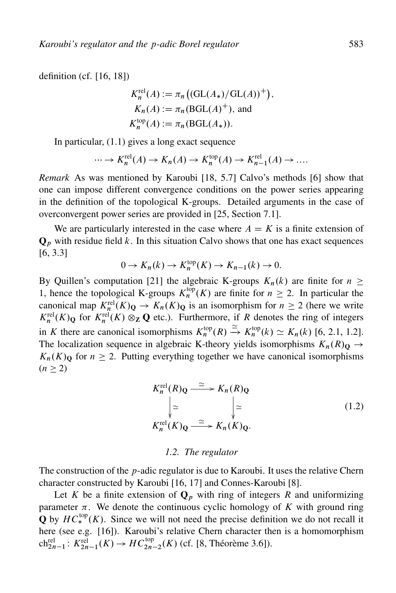definition (cf. [16, 18])

$$
K_n^{\text{rel}}(A) := \pi_n \big( (\text{GL}(A_*) / \text{GL}(A))^{+} \big),
$$
  
\n
$$
K_n(A) := \pi_n \big( \text{BGL}(A)^+ \big),
$$
 and  
\n
$$
K_n^{\text{top}}(A) := \pi_n \big( \text{BGL}(A_*) \big).
$$

In particular, (1.1) gives a long exact sequence

$$
\cdots \to K_n^{\text{rel}}(A) \to K_n(A) \to K_n^{\text{top}}(A) \to K_{n-1}^{\text{rel}}(A) \to \dots
$$

*Remark* As was mentioned by Karoubi [18, 5.7] Calvo's methods [6] show that one can impose different convergence conditions on the power series appearing in the definition of the topological K-groups. Detailed arguments in the case of overconvergent power series are provided in [25, Section 7.1].

We are particularly interested in the case where  $A = K$  is a finite extension of  $\mathbf{Q}_p$  with residue field k. In this situation Calvo shows that one has exact sequences [6, 3.3]

$$
0 \to K_n(k) \to K_n^{\text{top}}(K) \to K_{n-1}(k) \to 0.
$$

By Quillen's computation [21] the algebraic K-groups  $K_n(k)$  are finite for  $n \geq$ 1, hence the topological K-groups  $K_n^{\text{top}}(K)$  are finite for  $n \geq 2$ . In particular the canonical map  $K_n^{\text{rel}}(K)_{\mathbf{Q}} \to K_n(K)_{\mathbf{Q}}$  is an isomorphism for  $n \geq 2$  (here we write  $K_n^{\text{rel}}(K)_{\mathbf{Q}}$  for  $K_n^{\text{rel}}(K) \otimes_{\mathbf{Z}} \mathbf{Q}$  etc.). Furthermore, if R denotes the ring of integers in K there are canonical isomorphisms  $K_n^{\text{top}}(R) \xrightarrow{\simeq} K_n^{\text{top}}(k) \simeq K_n(k)$  [6, 2.1, 1.2]. The localization sequence in algebraic K-theory yields isomorphisms  $K_n(R)$   $\rightarrow$  $K_n(K)$  for  $n \geq 2$ . Putting everything together we have canonical isomorphisms  $(n \geq 2)$ 

$$
K_n^{\text{rel}}(R)_{\mathbf{Q}} \xrightarrow{\simeq} K_n(R)_{\mathbf{Q}}
$$
  
\n
$$
\downarrow \simeq \qquad \qquad \downarrow \simeq
$$
  
\n
$$
K_n^{\text{rel}}(K)_{\mathbf{Q}} \xrightarrow{\simeq} K_n(K)_{\mathbf{Q}}.
$$
 (1.2)

#### *1.2. The regulator*

The construction of the  $p$ -adic regulator is due to Karoubi. It uses the relative Chern character constructed by Karoubi [16, 17] and Connes-Karoubi [8].

Let K be a finite extension of  $\mathbf{Q}_p$  with ring of integers R and uniformizing parameter  $\pi$ . We denote the continuous cyclic homology of K with ground ring **Q** by  $HC_*^{top}(K)$ . Since we will not need the precise definition we do not recall it here (see e.g. [16]). Karoubi's relative Chern character then is a homomorphism ch<sup>rel</sup><sub>2n-1</sub>:  $K_{2n-1}^{\text{rel}}(K) \to HC_{2n-2}^{\text{top}}(K)$  (cf. [8, Théorème 3.6]).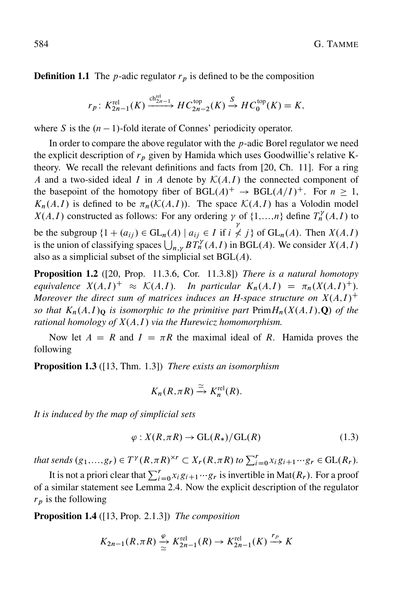**Definition 1.1** The *p*-adic regulator  $r<sub>p</sub>$  is defined to be the composition

$$
r_p: K^{\text{rel}}_{2n-1}(K) \xrightarrow{\text{ch}^{\text{rel}}_{2n-1}} HC^{\text{top}}_{2n-2}(K) \xrightarrow{S} HC^{\text{top}}_0(K) = K,
$$

where S is the  $(n - 1)$ -fold iterate of Connes' periodicity operator.

In order to compare the above regulator with the  $p$ -adic Borel regulator we need the explicit description of  $r_p$  given by Hamida which uses Goodwillie's relative Ktheory. We recall the relevant definitions and facts from [20, Ch. 11]. For a ring A and a two-sided ideal I in A denote by  $\mathcal{K}(A,I)$  the connected component of the basepoint of the homotopy fiber of BGL $(A)^+ \rightarrow BGL(A/I)^+$ . For  $n \geq 1$ ,  $K_n(A,I)$  is defined to be  $\pi_n(\mathcal{K}(A,I))$ . The space  $\mathcal{K}(A,I)$  has a Volodin model  $X(A, I)$  constructed as follows: For any ordering  $\gamma$  of  $\{1,...,n\}$  define  $T_n^{\gamma}(A, I)$  to be the subgroup  $\{1 + (a_{ij}) \in GL_n(A) \mid a_{ij} \in I \text{ if } i\}$ γ  $\neq j$  of GL<sub>n</sub>(A). Then  $X(A,I)$ is the union of classifying spaces  $\bigcup_{n,y} BT_n^{\gamma}(A,I)$  in BGL(A). We consider  $X(A,I)$ also as a simplicial subset of the simplicial set  $BGL(A)$ .

Proposition 1.2 ([20, Prop. 11.3.6, Cor. 11.3.8]) *There is a natural homotopy equivalence*  $X(A,I)^{+} \approx \mathcal{K}(A,I)$ *. In particular*  $K_n(A,I) = \pi_n(X(A,I)^{+})$ *. Moreover the direct sum of matrices induces an H-space structure on*  $X(A,I)^+$ *so that*  $K_n(A,I)$ <sup>Q</sup> *is isomorphic to the primitive part*  $Prim H_n(X(A,I), Q)$  *of the rational homology of*  $X(A,I)$  *via the Hurewicz homomorphism.* 

Now let  $A = R$  and  $I = \pi R$  the maximal ideal of R. Hamida proves the following

Proposition 1.3 ([13, Thm. 1.3]) *There exists an isomorphism*

$$
K_n(R,\pi R) \xrightarrow{\simeq} K_n^{\text{rel}}(R).
$$

*It is induced by the map of simplicial sets*

$$
\varphi: X(R, \pi R) \to \mathrm{GL}(R_*)/\mathrm{GL}(R) \tag{1.3}
$$

*that sends*  $(g_1,...,g_r) \in T^{\gamma}(R,\pi R)^{\times r} \subset X_r(R,\pi R)$  to  $\sum_{i=0}^r x_i g_{i+1} \cdots g_r \in GL(R_r)$ .

It is not a priori clear that  $\sum_{i=0}^{r} x_i g_{i+1} \cdots g_r$  is invertible in Mat $(R_r)$ . For a proof of a similar statement see Lemma 2.4. Now the explicit description of the regulator  $r_p$  is the following

Proposition 1.4 ([13, Prop. 2.1.3]) *The composition*

$$
K_{2n-1}(R, \pi R) \xrightarrow{\varphi} K_{2n-1}^{\text{rel}}(R) \to K_{2n-1}^{\text{rel}}(K) \xrightarrow{r_p} K
$$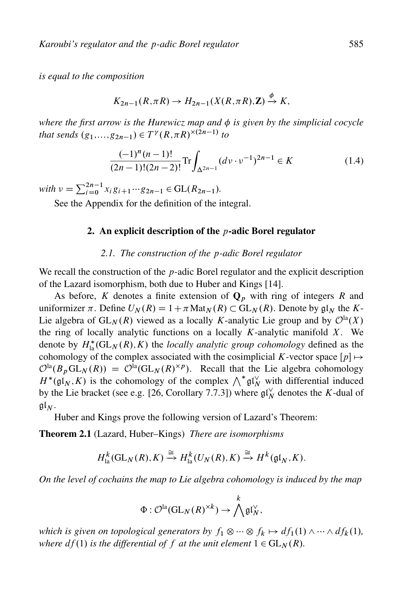*is equal to the composition*

$$
K_{2n-1}(R,\pi R) \to H_{2n-1}(X(R,\pi R),\mathbf{Z}) \xrightarrow{\phi} K,
$$

*where the first arrow is the Hurewicz map and is given by the simplicial cocycle that sends*  $(g_1,...,g_{2n-1}) \in T^{\gamma}(R,\pi R)^{\times(2n-1)}$  to

$$
\frac{(-1)^n (n-1)!}{(2n-1)!(2n-2)!} \text{Tr} \int_{\Delta^{2n-1}} (dv \cdot v^{-1})^{2n-1} \in K \tag{1.4}
$$

 $with \nu = \sum_{i=0}^{2n-1} x_i g_{i+1} \cdots g_{2n-1} \in GL(R_{2n-1}).$ 

See the Appendix for the definition of the integral.

#### 2. An explicit description of the  $p$ -adic Borel regulator

#### *2.1. The construction of the* p*-adic Borel regulator*

We recall the construction of the *p*-adic Borel regulator and the explicit description of the Lazard isomorphism, both due to Huber and Kings [14].

As before, K denotes a finite extension of  $\mathbf{Q}_p$  with ring of integers R and uniformizer  $\pi$ . Define  $U_N(R) = 1 + \pi \text{Mat}_N(R) \subset GL_N(R)$ . Denote by  $\mathfrak{gl}_N$  the K-Lie algebra of  $GL_N(R)$  viewed as a locally K-analytic Lie group and by  $\mathcal{O}^{\text{la}}(X)$ the ring of locally analytic functions on a locally  $K$ -analytic manifold  $X$ . We denote by  $H_{\text{la}}^*(\text{GL}_N(R), K)$  the *locally analytic group cohomology* defined as the cohomology of the complex associated with the cosimplicial K-vector space  $[p] \mapsto$  $\mathcal{O}^{la}(B_p GL_N(R)) = \mathcal{O}^{la}(GL_N(R)^{\times p})$ . Recall that the Lie algebra cohomology  $H^*(\mathfrak{gl}_N, K)$  is the cohomology of the complex  $\bigwedge^* \mathfrak{gl}_N^{\vee}$  with differential induced by the Lie bracket (see e.g. [26, Corollary 7.7.3]) where  $\mathfrak{gl}_N^{\vee}$  denotes the K-dual of  $\mathfrak{gl}_N$ .

Huber and Kings prove the following version of Lazard's Theorem:

Theorem 2.1 (Lazard, Huber–Kings) *There are isomorphisms*

$$
H_{\mathrm{la}}^k(\mathrm{GL}_N(R), K) \xrightarrow{\cong} H_{\mathrm{la}}^k(U_N(R), K) \xrightarrow{\cong} H^k(\mathfrak{gl}_N, K).
$$

*On the level of cochains the map to Lie algebra cohomology is induced by the map*

$$
\Phi: \mathcal{O}^{\mathrm{la}}(\mathrm{GL}_N(R)^{\times k}) \to \bigwedge^k \mathfrak{gl}_N^{\vee},
$$

*which is given on topological generators by*  $f_1 \otimes \cdots \otimes f_k \mapsto df_1(1) \wedge \cdots \wedge df_k(1)$ *, where*  $df(1)$  *is the differential of f at the unit element*  $1 \in GL<sub>N</sub>(R)$ *.*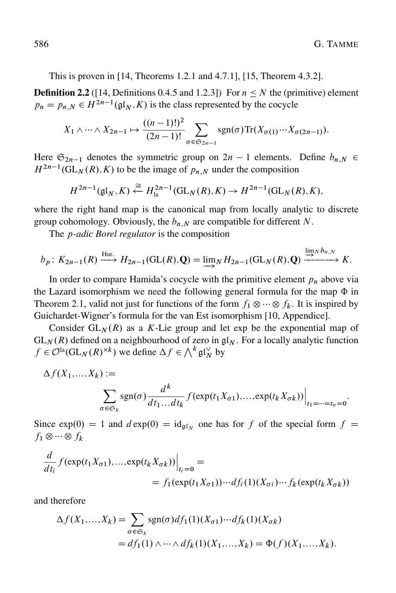This is proven in [14, Theorems 1.2.1 and 4.7.1], [15, Theorem 4.3.2].

**Definition 2.2** ([14, Definitions 0.4.5 and 1.2.3]) For  $n \leq N$  the (primitive) element  $p_n = p_{n,N} \in H^{2n-1}(\mathfrak{gl}_N, K)$  is the class represented by the cocycle

$$
X_1 \wedge \cdots \wedge X_{2n-1} \mapsto \frac{((n-1)!)^2}{(2n-1)!} \sum_{\sigma \in \mathfrak{S}_{2n-1}} \operatorname{sgn}(\sigma) \operatorname{Tr}(X_{\sigma(1)} \cdots X_{\sigma(2n-1)}).
$$

Here  $\mathfrak{S}_{2n-1}$  denotes the symmetric group on  $2n-1$  elements. Define  $b_{n,N} \in$  $H^{2n-1}(\mathrm{GL}_N(R), K)$  to be the image of  $p_{n,N}$  under the composition

$$
H^{2n-1}(\mathfrak{gl}_N,K)\stackrel{\cong}{\leftarrow} H_{\mathrm{la}}^{2n-1}(\mathrm{GL}_N(R),K)\to H^{2n-1}(\mathrm{GL}_N(R),K),
$$

where the right hand map is the canonical map from locally analytic to discrete group cohomology. Obviously, the  $b_{n,N}$  are compatible for different N.

The p*-adic Borel regulator* is the composition

$$
b_p: K_{2n-1}(R) \xrightarrow{\text{Hur.}} H_{2n-1}(\text{GL}(R), \mathbf{Q}) = \lim_{N \to \infty} H_{2n-1}(\text{GL}_N(R), \mathbf{Q}) \xrightarrow{\lim_{N \to \infty} b_{n,N}} K.
$$

In order to compare Hamida's cocycle with the primitive element  $p_n$  above via the Lazard isomorphism we need the following general formula for the map  $\Phi$  in Theorem 2.1, valid not just for functions of the form  $f_1 \otimes \cdots \otimes f_k$ . It is inspired by Guichardet-Wigner's formula for the van Est isomorphism [10, Appendice].

Consider  $GL_N(R)$  as a K-Lie group and let exp be the exponential map of  $GL_N(R)$  defined on a neighbourhood of zero in  $\mathfrak{gl}_N$ . For a locally analytic function  $f \in \mathcal{O}^{\text{la}}(\text{GL}_N(R)^{\times k})$  we define  $\Delta f \in \bigwedge^k \mathfrak{gl}_N^{\vee}$  by

$$
\Delta f(X_1,...,X_k) := \sum_{\sigma \in \mathfrak{S}_k} \text{sgn}(\sigma) \frac{d^k}{dt_1...dt_k} f(\exp(t_1 X_{\sigma 1}),..., \exp(t_k X_{\sigma k})) \Big|_{t_1 = \dots = t_n = 0}.
$$

Since  $exp(0) = 1$  and  $d exp(0) = id_{g1_M}$  one has for f of the special form  $f =$  $f_1 \otimes \cdots \otimes f_k$ 

$$
\frac{d}{dt_i} f(\exp(t_1 X_{\sigma 1}), \dots, \exp(t_k X_{\sigma k})) \Big|_{t_i=0} =
$$
  
=  $f_1(\exp(t_1 X_{\sigma 1})) \cdots df_i(1) (X_{\sigma i}) \cdots f_k(\exp(t_k X_{\sigma k}))$ 

and therefore

$$
\Delta f(X_1,...,X_k) = \sum_{\sigma \in \mathfrak{S}_k} \text{sgn}(\sigma) df_1(1)(X_{\sigma 1}) \cdots df_k(1)(X_{\sigma k})
$$
  
=  $df_1(1) \wedge \cdots \wedge df_k(1)(X_1,...,X_k) = \Phi(f)(X_1,...,X_k).$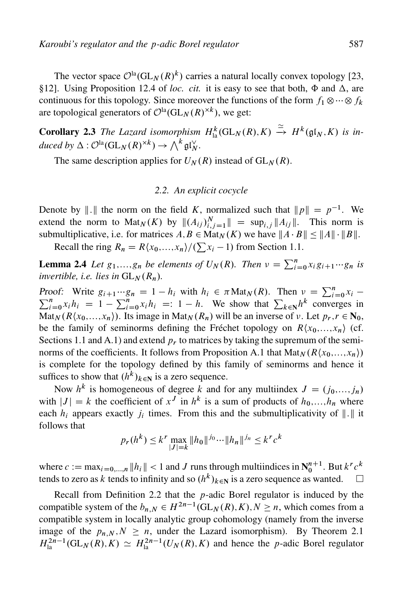The vector space  $\mathcal{O}^{la}(GL_N(R)^k)$  carries a natural locally convex topology [23, §12]. Using Proposition 12.4 of *loc. cit.* it is easy to see that both,  $\Phi$  and  $\Delta$ , are continuous for this topology. Since moreover the functions of the form  $f_1 \otimes \cdots \otimes f_k$ are topological generators of  $\mathcal{O}^{la}(GL_N(R)^{\times k})$ , we get:

**Corollary 2.3** The Lazard isomorphism  $H^k_{\text{la}}(\text{GL}_N(R), K) \stackrel{\simeq}{\to} H^k(\mathfrak{gl}_N, K)$  is in $duced by \Delta: \mathcal{O}^{la}(\mathrm{GL}_N(R)^{\times k}) \to \bigwedge^k \mathfrak{gl}_N^{\vee}.$ 

The same description applies for  $U_N(R)$  instead of  $GL_N(R)$ .

#### *2.2. An explicit cocycle*

Denote by ||. || the norm on the field K, normalized such that  $||p|| = p^{-1}$ . We extend the norm to Mat<sub>N</sub>(K) by  $||(A_{ij})_{i,j=1}^N|| = \sup_{i,j} ||A_{ij}||$ . This norm is submultiplicative, i.e. for matrices  $A, B \in Mat_N(K)$  we have  $||A \cdot B|| \le ||A|| \cdot ||B||$ .

Recall the ring  $R_n = R\langle x_0,...,x_n \rangle / (\sum x_i - 1)$  from Section 1.1.

**Lemma 2.4** Let  $g_1,...,g_n$  be elements of  $U_N(R)$ . Then  $v = \sum_{i=0}^n x_i g_{i+1} \cdots g_n$  is *invertible, i.e. lies in*  $GL_N(R_n)$ *.* 

Proof: Write  $g_{i+1} \cdots g_n = 1 - h_i$  with  $h_i \in \pi \text{Mat}_N(R)$ . Then  $v = \sum_{i=0}^n x_i$  $\sum_{i=0}^{n} x_i h_i = 1 - \sum_{i=0}^{n} x_i h_i = 1 - h$ . We show that  $\sum_{k \in \mathbb{N}} h^k$  converges in  $\text{Mat}_N(R\langle x_0,\ldots,x_n\rangle)$ . Its image in  $\text{Mat}_N(R_n)$  will be an inverse of  $\nu$ . Let  $p_r, r \in N_0$ , be the family of seminorms defining the Fréchet topology on  $R\langle x_0, ..., x_n \rangle$  (cf. Sections 1.1 and A.1) and extend  $p_r$  to matrices by taking the supremum of the seminorms of the coefficients. It follows from Proposition A.1 that  $Mat_N(R\langle x_0,...,x_n\rangle)$ is complete for the topology defined by this family of seminorms and hence it suffices to show that  $(h^k)_{k\in\mathbb{N}}$  is a zero sequence.

Now  $h^k$  is homogeneous of degree k and for any multiindex  $J = (j_0, \ldots, j_n)$ with  $|J| = k$  the coefficient of  $x^J$  in  $h^k$  is a sum of products of  $h_0, \ldots, h_n$  where each  $h_i$  appears exactly  $j_i$  times. From this and the submultiplicativity of  $\Vert . \Vert$  it follows that

$$
p_r(h^k) \le k^r \max_{|J|=k} \|h_0\|^{j_0} \cdots \|h_n\|^{j_n} \le k^r c^k
$$

where  $c := \max_{i=0,\dots,n} ||h_i|| < 1$  and J runs through multiindices in  $N_0^{n+1}$ . But  $k^r c^k$ tends to zero as k tends to infinity and so  $(h^k)_{k\in\mathbb{N}}$  is a zero sequence as wanted.  $\Box$ 

Recall from Definition 2.2 that the  $p$ -adic Borel regulator is induced by the compatible system of the  $b_{n,N} \in H^{2n-1}(\mathrm{GL}_N(R),K), N \geq n$ , which comes from a compatible system in locally analytic group cohomology (namely from the inverse image of the  $p_{n,N}$ ,  $N \ge n$ , under the Lazard isomorphism). By Theorem 2.1  $H_{\text{la}}^{2n-1}(\text{GL}_N(R), K) \simeq H_{\text{la}}^{2n-1}(U_N(R), K)$  and hence the p-adic Borel regulator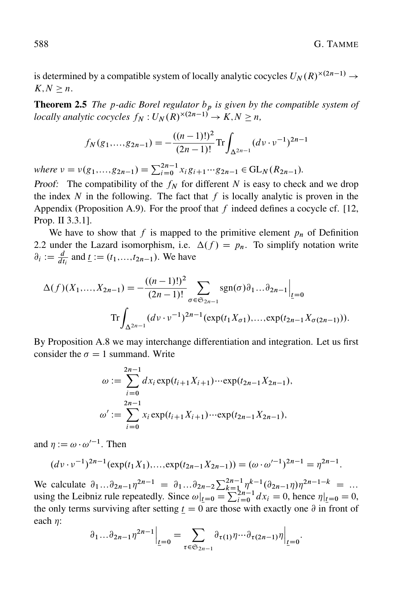is determined by a compatible system of locally analytic cocycles  $U_N(R)^{\times (2n-1)} \to$  $K.N \geq n$ .

**Theorem 2.5** *The p-adic Borel regulator*  $b<sub>p</sub>$  *is given by the compatible system of locally analytic cocycles*  $f_N: U_N(R)^{\times (2n-1)} \to K, N \geq n$ ,

$$
f_N(g_1,...,g_{2n-1}) = -\frac{((n-1)!)^2}{(2n-1)!} \text{Tr} \int_{\Delta^{2n-1}} (dv \cdot v^{-1})^{2n-1}
$$

*where*  $\nu = \nu(g_1,...,g_{2n-1}) = \sum_{i=0}^{2n-1} x_i g_{i+1} \cdots g_{2n-1} \in GL_N(R_{2n-1}).$ 

Proof: The compatibility of the  $f_N$  for different N is easy to check and we drop the index  $N$  in the following. The fact that  $f$  is locally analytic is proven in the Appendix (Proposition A.9). For the proof that f indeed defines a cocycle cf. [12, Prop. II 3.3.1].

We have to show that f is mapped to the primitive element  $p_n$  of Definition 2.2 under the Lazard isomorphism, i.e.  $\Delta(f) = p_n$ . To simplify notation write  $\partial_i := \frac{d}{dt_i}$  and  $\underline{t} := (t_1, \ldots, t_{2n-1})$ . We have

$$
\Delta(f)(X_1, ..., X_{2n-1}) = -\frac{((n-1)!)^2}{(2n-1)!} \sum_{\sigma \in \mathfrak{S}_{2n-1}} \operatorname{sgn}(\sigma) \partial_1 ... \partial_{2n-1} \Big|_{\underline{t}=0}
$$
  
Tr 
$$
\int_{\Delta^{2n-1}} (d\nu \cdot \nu^{-1})^{2n-1} (\exp(t_1 X_{\sigma 1}), ..., \exp(t_{2n-1} X_{\sigma(2n-1)})).
$$

By Proposition A.8 we may interchange differentiation and integration. Let us first consider the  $\sigma = 1$  summand. Write

$$
\omega := \sum_{i=0}^{2n-1} dx_i \exp(t_{i+1}X_{i+1}) \cdots \exp(t_{2n-1}X_{2n-1}),
$$
  

$$
\omega' := \sum_{i=0}^{2n-1} x_i \exp(t_{i+1}X_{i+1}) \cdots \exp(t_{2n-1}X_{2n-1}),
$$

and  $\eta := \omega \cdot \omega'^{-1}$ . Then

$$
(dv \cdot v^{-1})^{2n-1}(\exp(t_1 X_1), \dots, \exp(t_{2n-1} X_{2n-1})) = (\omega \cdot \omega'^{-1})^{2n-1} = \eta^{2n-1}.
$$

We calculate  $\partial_1...\partial_{2n-1}\eta^{2n-1} = \partial_1...\partial_{2n-2}\sum_{k=1}^{2n-1}\eta^{k-1}(\partial_{2n-1}\eta)\eta^{2n-1-k} = ...$ using the Leibniz rule repeatedly. Since  $\omega|_{t=0} = \sum_{i=0}^{2n-1} dx_i = 0$ , hence  $\eta|_{t=0} = 0$ , the only terms surviving after setting  $t = 0$  are those with exactly one  $\partial$  in front of each  $\eta$ :

$$
\partial_1 \dots \partial_{2n-1} \eta^{2n-1} \Big|_{\underline{t}=0} = \sum_{\tau \in \mathfrak{S}_{2n-1}} \partial_{\tau(1)} \eta \dots \partial_{\tau(2n-1)} \eta \Big|_{\underline{t}=0}.
$$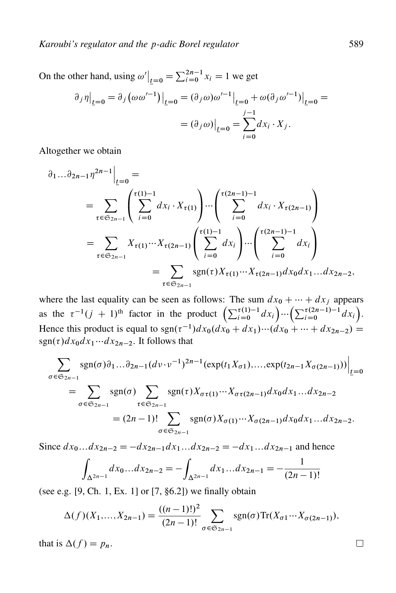On the other hand, using  $\omega' \big|_{t=0} = \sum_{i=0}^{2n-1} x_i = 1$  we get

$$
\partial_j \eta \Big|_{\underline{t}=0} = \partial_j \left( \omega \omega'^{-1} \right) \Big|_{\underline{t}=0} = (\partial_j \omega) \omega'^{-1} \Big|_{\underline{t}=0} + \omega (\partial_j \omega'^{-1}) \Big|_{\underline{t}=0} =
$$

$$
= (\partial_j \omega) \Big|_{\underline{t}=0} = \sum_{i=0}^{j-1} dx_i \cdot X_j.
$$

Altogether we obtain

$$
\partial_1 ... \partial_{2n-1} \eta^{2n-1} \Big|_{\underline{t}=0} =
$$
\n
$$
= \sum_{\tau \in \mathfrak{S}_{2n-1}} \left( \sum_{i=0}^{\tau(1)-1} dx_i \cdot X_{\tau(1)} \right) ... \left( \sum_{i=0}^{\tau(2n-1)-1} dx_i \cdot X_{\tau(2n-1)} \right)
$$
\n
$$
= \sum_{\tau \in \mathfrak{S}_{2n-1}} X_{\tau(1)} ... X_{\tau(2n-1)} \left( \sum_{i=0}^{\tau(1)-1} dx_i \right) ... \left( \sum_{i=0}^{\tau(2n-1)-1} dx_i \right)
$$
\n
$$
= \sum_{\tau \in \mathfrak{S}_{2n-1}} \text{sgn}(\tau) X_{\tau(1)} ... X_{\tau(2n-1)} dx_0 dx_1 ... dx_{2n-2},
$$

where the last equality can be seen as follows: The sum  $dx_0 + \cdots + dx_j$  appears as the  $\tau^{-1}(j + 1)$ <sup>th</sup> factor in the product  $\left(\sum_{i=0}^{\tau(1)-1} dx_i\right)$  $\int \cdots \left( \sum_{i=0}^{\tau(2n-1)-1} dx_i \right)$  $\tilde{\zeta}$ . Hence this product is equal to  $sgn(\tau^{-1})dx_0(dx_0 + dx_1)\cdots(dx_0 + \cdots + dx_{2n-2}) =$  $sgn(\tau)dx_0dx_1\cdots dx_{2n-2}$ . It follows that

$$
\sum_{\sigma \in \mathfrak{S}_{2n-1}} \text{sgn}(\sigma) \partial_1 ... \partial_{2n-1} (d\nu \cdot \nu^{-1})^{2n-1} (\exp(t_1 X_{\sigma 1}), ..., \exp(t_{2n-1} X_{\sigma (2n-1)})) \Big|_{\underline{t} = 0}
$$
  
= 
$$
\sum_{\sigma \in \mathfrak{S}_{2n-1}} \text{sgn}(\sigma) \sum_{\tau \in \mathfrak{S}_{2n-1}} \text{sgn}(\tau) X_{\sigma \tau (1)} ... X_{\sigma \tau (2n-1)} dx_0 dx_1 ... dx_{2n-2}
$$
  
= 
$$
(2n-1)! \sum_{\sigma \in \mathfrak{S}_{2n-1}} \text{sgn}(\sigma) X_{\sigma (1)} ... X_{\sigma (2n-1)} dx_0 dx_1 ... dx_{2n-2}.
$$

Since  $dx_0...dx_{2n-2} = -dx_{2n-1}dx_1...dx_{2n-2} = -dx_1...dx_{2n-1}$  and hence

$$
\int_{\Delta^{2n-1}} dx_0 \dots dx_{2n-2} = -\int_{\Delta^{2n-1}} dx_1 \dots dx_{2n-1} = -\frac{1}{(2n-1)!}
$$

(see e.g. [9, Ch. 1, Ex. 1] or [7, §6.2]) we finally obtain

$$
\Delta(f)(X_1,...,X_{2n-1}) = \frac{((n-1)!)^2}{(2n-1)!} \sum_{\sigma \in \mathfrak{S}_{2n-1}} \text{sgn}(\sigma) \text{Tr}(X_{\sigma 1} \cdots X_{\sigma (2n-1)}),
$$

that is  $\Delta(f) = p_n$ .

 $\Box$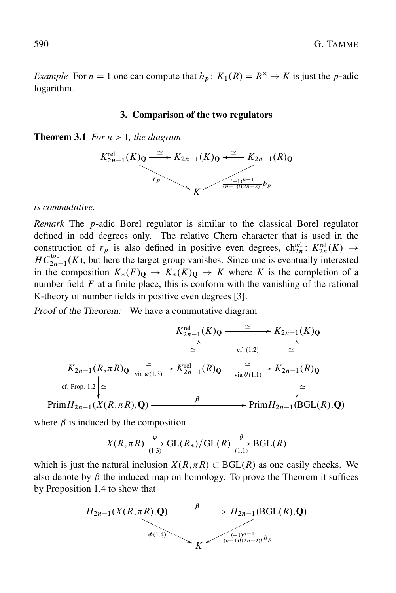*Example* For  $n = 1$  one can compute that  $b_n$ :  $K_1(R) = R^{\times} \rightarrow K$  is just the p-adic logarithm.

#### 3. Comparison of the two regulators

**Theorem 3.1** *For*  $n > 1$ *, the diagram* 



#### *is commutative.*

*Remark* The p-adic Borel regulator is similar to the classical Borel regulator defined in odd degrees only. The relative Chern character that is used in the construction of  $r_p$  is also defined in positive even degrees,  $\text{ch}_{2n}^{\text{rel}}: K_{2n}^{\text{rel}}(K) \rightarrow$  $HC_{2n-1}^{top}(K)$ , but here the target group vanishes. Since one is eventually interested in the composition  $K_*(F)_{\mathbf{Q}} \to K_*(K)_{\mathbf{Q}} \to K$  where K is the completion of a number field  $F$  at a finite place, this is conform with the vanishing of the rational K-theory of number fields in positive even degrees [3].

Proof of the Theorem: We have a commutative diagram

$$
K_{2n-1}^{\text{rel}}(K)_{\mathbf{Q}} \xrightarrow{\simeq} K_{2n-1}(K)_{\mathbf{Q}}
$$
  
\n
$$
\simeq \int_{0}^{k} \text{ cf. (1.2)} \simeq \int_{0}^{k} \text{ cf. (1.2)} \simeq \int_{0}^{k} \text{ cf. (1.2)} \simeq \int_{0}^{k} \text{ cf. (1.2)} \simeq \int_{0}^{k} \text{ cf. Prop. 1.2} \simeq \int_{0}^{k} \text{ cf. Prop. 1.2} \simeq \int_{0}^{k} \text{ Prim } H_{2n-1}(X(R, \pi R), \mathbf{Q}) \xrightarrow{\beta} \text{ Prim } H_{2n-1}(\text{BGL}(R), \mathbf{Q})
$$

where  $\beta$  is induced by the composition

$$
X(R, \pi R) \xrightarrow[1.3]{\varphi} \text{GL}(R_*) / \text{GL}(R) \xrightarrow[1.1]{\theta} \text{BGL}(R)
$$

which is just the natural inclusion  $X(R,\pi R) \subset BGL(R)$  as one easily checks. We also denote by  $\beta$  the induced map on homology. To prove the Theorem it suffices by Proposition 1.4 to show that

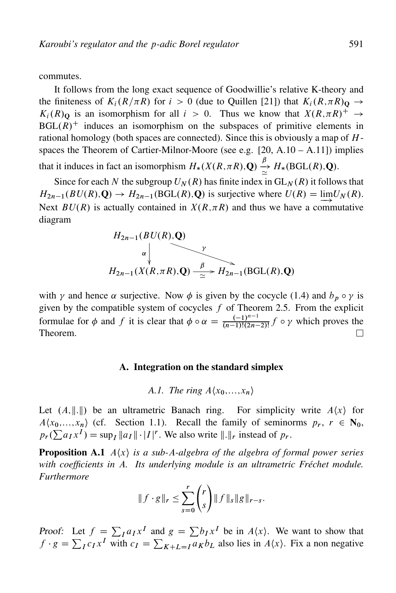commutes.

It follows from the long exact sequence of Goodwillie's relative K-theory and the finiteness of  $K_i(R/\pi R)$  for  $i>0$  (due to Quillen [21]) that  $K_i(R,\pi R)$   $\rightarrow$  $K_i(R)$ <sup>Q</sup> is an isomorphism for all  $i>0$ . Thus we know that  $X(R,\pi R)^+ \rightarrow$  $BGL(R)^+$  induces an isomorphism on the subspaces of primitive elements in rational homology (both spaces are connected). Since this is obviously a map of  $H$ spaces the Theorem of Cartier-Milnor-Moore (see e.g.  $[20, A.10 - A.11]$ ) implies that it induces in fact an isomorphism  $H_*(X(R,\pi R),\mathbf{Q}) \stackrel{\beta}{\simeq} H_*(\text{BGL}(R),\mathbf{Q})$ .

Since for each N the subgroup  $U_N(R)$  has finite index in  $GL_N(R)$  it follows that  $H_{2n-1}(BU(R),\mathbf{Q}) \to H_{2n-1}(BGL(R),\mathbf{Q})$  is surjective where  $U(R) = \lim_{h \to 0} U_N(R)$ .  $\Rightarrow$ Next  $BU(R)$  is actually contained in  $X(R,\pi R)$  and thus we have a commutative diagram

$$
H_{2n-1}(BU(R), Q)
$$
\n
$$
\downarrow
$$
\n
$$
H_{2n-1}(X(R, \pi R), Q) \xrightarrow{\beta} H_{2n-1}(\text{BGL}(R), Q)
$$

with  $\gamma$  and hence  $\alpha$  surjective. Now  $\phi$  is given by the cocycle (1.4) and  $b_p \circ \gamma$  is given by the compatible system of cocycles  $f$  of Theorem 2.5. From the explicit formulae for  $\phi$  and f it is clear that  $\phi \circ \alpha = \frac{(-1)^{n-1}}{(n-1)!(2n-1)!}$  $\frac{(-1)^{n+1}}{(n-1)!(2n-2)!} f \circ \gamma$  which proves the Theorem.

#### A. Integration on the standard simplex

*A.1. The ring*  $A\langle x_0, \ldots, x_n \rangle$ 

Let  $(A, \|.\|)$  be an ultrametric Banach ring. For simplicity write  $A\langle x \rangle$  for  $A(x_0,...,x_n)$  (cf. Section 1.1). Recall the family of seminorms  $p_r$ ,  $r \in N_0$ ,  $p_r(\sum a_I x^I) = \sup_I ||a_I|| \cdot |I|^r$ . We also write  $||.||_r$  instead of  $p_r$ .

**Proposition A.1**  $A\langle x \rangle$  *is a sub-A-algebra of the algebra of formal power series with coefficients in* A*. Its underlying module is an ultrametric Fréchet module. Furthermore*

$$
||f \cdot g||_r \leq \sum_{s=0}^r \binom{r}{s} ||f||_s ||g||_{r-s}.
$$

Proof: Let  $f = \sum_I a_I x^I$  and  $g = \sum b_I x^I$  be in  $A\langle x \rangle$ . We want to show that  $f \cdot g = \sum_I c_I x^I$  with  $c_I = \sum_{K+L=I} a_K b_L$  also lies in  $A\langle x \rangle$ . Fix a non negative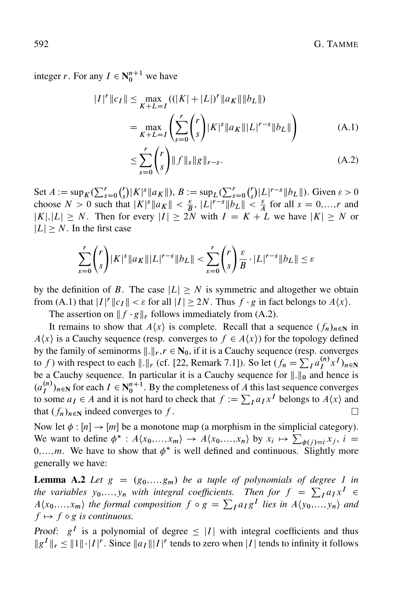integer *r*. For any  $I \in N_0^{n+1}$  we have

$$
|I|^{r} ||c_{I}|| \leq \max_{K+L=I} ((|K| + |L|)^{r} ||a_{K}|| ||b_{L}||)
$$
  
= 
$$
\max_{K+L=I} \left( \sum_{s=0}^{r} {r \choose s} |K|^{s} ||a_{K}|| |L|^{r-s} ||b_{L}|| \right)
$$
 (A.1)

$$
\leq \sum_{s=0}^{r} {r \choose s} \|f\|_{s} \|g\|_{r-s}.
$$
\n(A.2)

Set  $A := \sup_K (\sum_{s=0}^r$ -r s  $\big(|K|^{s}\|a_K\|\big),\,B:=\sup_L(\sum_{s=0}^r$  $\frac{r}{r}$ s  $\int |L|^{r-s} ||b_L||$ . Given  $\varepsilon > 0$ choose  $N > 0$  such that  $|K|^s \|a_K\| < \frac{\varepsilon}{B}$ ,  $|L|^{r-s} \|b_L\| < \frac{\varepsilon}{A}$  for all  $s = 0,...,r$  and  $|K|, |L| \ge N$ . Then for every  $|I| \ge 2N$  with  $I = K + L$  we have  $|K| \ge N$  or  $|L| \geq N$ . In the first case

$$
\sum_{s=0}^r \binom{r}{s} |K|^s \|a_K\| |L|^{r-s} \|b_L\| < \sum_{s=0}^r \binom{r}{s} \frac{\varepsilon}{B} \cdot |L|^{r-s} \|b_L\| \le \varepsilon
$$

by the definition of B. The case  $|L| \geq N$  is symmetric and altogether we obtain from (A.1) that  $|I|^r ||c_I|| < \varepsilon$  for all  $|I| \ge 2N$ . Thus  $f \cdot g$  in fact belongs to  $A\langle x \rangle$ .

The assertion on  $|| f \cdot g||_r$  follows immediately from (A.2).

It remains to show that  $A\langle x \rangle$  is complete. Recall that a sequence  $(f_n)_{n\in\mathbb{N}}$  in  $A\langle x \rangle$  is a Cauchy sequence (resp. converges to  $f \in A\langle x \rangle$ ) for the topology defined by the family of seminorms  $\Vert .\Vert_r$ ,  $r \in N_0$ , if it is a Cauchy sequence (resp. converges to f) with respect to each  $\|\cdot\|_r$  (cf. [22, Remark 7.1]). So let  $(f_n = \sum_I a_I^{(n)} x^I)_{n \in \mathbb{N}}$ be a Cauchy sequence. In particular it is a Cauchy sequence for  $\|\cdot\|_0$  and hence is  $(a_I^{(n)})_{n\in\mathbb{N}}$  for each  $I \in \mathbb{N}_0^{n+1}$ . By the completeness of A this last sequence converges to some  $a_I \in A$  and it is not hard to check that  $f := \sum_I a_I x^I$  belongs to  $A\langle x \rangle$  and that  $(f_n)_{n\in\mathbb{N}}$  indeed converges to f.

Now let  $\phi : [n] \to [m]$  be a monotone map (a morphism in the simplicial category). We want to define  $\phi^* : A\langle x_0,...,x_m\rangle \to A\langle x_0,...,x_n\rangle$  by  $x_i \mapsto \sum_{\phi(j)=i} x_j$ ,  $i =$  $0, \ldots, m$ . We have to show that  $\phi^*$  is well defined and continuous. Slightly more generally we have:

**Lemma A.2** Let  $g = (g_0,...,g_m)$  be a tuple of polynomials of degree 1 in *the variables*  $y_0, \ldots, y_n$  *with integral coefficients. Then for*  $f = \sum_I a_I x^I$  $A(x_0,...,x_m)$  the formal composition  $f \circ g = \sum_I a_I g^I$  lies in  $A(y_0,...,y_n)$  and  $f \mapsto f \circ g$  *is continuous.* 

Proof:  $g^I$  is a polynomial of degree  $\leq |I|$  with integral coefficients and thus  $||g^I||_r \leq ||1|| \cdot |I|^r$ . Since  $||a_I|| |I|^r$  tends to zero when |I| tends to infinity it follows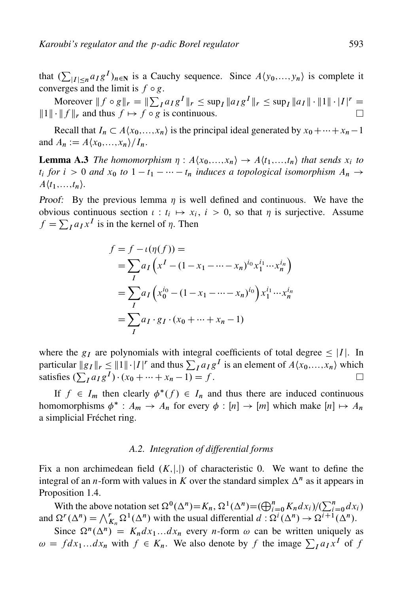Moreover  $||f \circ g||_r = ||\sum_I a_I g^I||_r \le \sup_I ||a_I g^I||_r \le \sup_I ||a_I|| \cdot ||1|| \cdot |I|^r =$  $||1|| \cdot ||f||_r$  and thus  $f \mapsto f \circ g$  is continuous.  $\Box$ 

Recall that  $I_n \subset A\langle x_0,...,x_n\rangle$  is the principal ideal generated by  $x_0 + \cdots + x_n - 1$ and  $A_n := A\langle x_0,\ldots,x_n\rangle/I_n$ .

**Lemma A.3** *The homomorphism*  $\eta$ :  $A\langle x_0,...,x_n\rangle \rightarrow A\langle t_1,...,t_n\rangle$  *that sends*  $x_i$  *to*  $t_i$  for  $i > 0$  and  $x_0$  to  $1 - t_1 - \cdots - t_n$  induces a topological isomorphism  $A_n \to$  $A\langle t_1,\ldots,t_n\rangle$ .

*Proof:* By the previous lemma  $\eta$  is well defined and continuous. We have the obvious continuous section  $\iota : t_i \mapsto x_i, i > 0$ , so that  $\eta$  is surjective. Assume  $f = \sum_I a_I x^I$  is in the kernel of  $\eta$ . Then

$$
f = f - \iota(\eta(f)) =
$$
  
=  $\sum_{I} a_{I} (x^{I} - (1 - x_{1} - \cdots - x_{n})^{i_{0}} x_{1}^{i_{1}} \cdots x_{n}^{i_{n}})$   
=  $\sum_{I} a_{I} (x_{0}^{i_{0}} - (1 - x_{1} - \cdots - x_{n})^{i_{0}}) x_{1}^{i_{1}} \cdots x_{n}^{i_{n}}$   
=  $\sum_{I} a_{I} \cdot g_{I} \cdot (x_{0} + \cdots + x_{n} - 1)$ 

where the  $g_I$  are polynomials with integral coefficients of total degree  $\leq |I|$ . In particular  $||g_I||_r \leq ||1|| \cdot |I|^r$  and thus  $\sum_I a_I g^I$  is an element of  $A\langle x_0,...,x_n \rangle$  which satisfies  $(\sum_{I} a_{I} g^{I}) \cdot (x_{0} + \cdots + x_{n} - 1) = f$ .  $\Box$ 

If  $f \in I_m$  then clearly  $\phi^*(f) \in I_n$  and thus there are induced continuous homomorphisms  $\phi^* : A_m \to A_n$  for every  $\phi : [n] \to [m]$  which make  $[n] \mapsto A_n$ a simplicial Fréchet ring.

#### *A.2. Integration of differential forms*

Fix a non archimedean field  $(K,|.|)$  of characteristic 0. We want to define the integral of an *n*-form with values in K over the standard simplex  $\Delta^n$  as it appears in Proposition 1.4.

With the above notation set  $\Omega^0(\Delta^n) = K_n$ ,  $\Omega^1(\Delta^n) = (\bigoplus_{i=0}^n K_n dx_i)/(\sum_{i=0}^n dx_i)$ and  $\Omega^r(\Delta^n) = \bigwedge_{K_n}^r \Omega^1(\Delta^n)$  with the usual differential  $d : \Omega^i(\Delta^n) \to \Omega^{i+1}(\Delta^n)$ .

Since  $\Omega^n(\Delta^n) = K_n dx_1...dx_n$  every *n*-form  $\omega$  can be written uniquely as  $\omega = fdx_1...dx_n$  with  $f \in K_n$ . We also denote by f the image  $\sum_I a_I x^I$  of f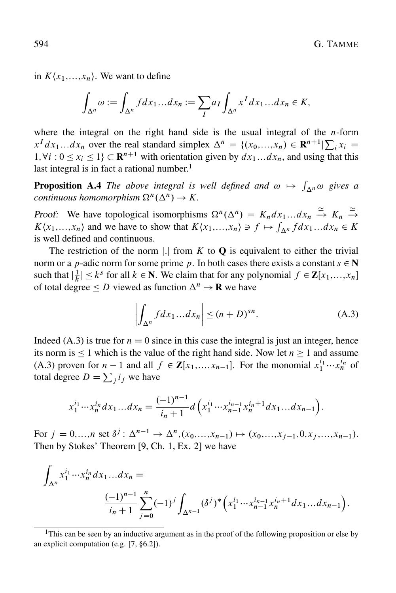in  $K\langle x_1,\ldots,x_n\rangle$ . We want to define

$$
\int_{\Delta^n} \omega := \int_{\Delta^n} f dx_1 \dots dx_n := \sum_I a_I \int_{\Delta^n} x^I dx_1 \dots dx_n \in K,
$$

where the integral on the right hand side is the usual integral of the  $n$ -form  $x^T dx_1...dx_n$  over the real standard simplex  $\Delta^n = \{(x_0,...,x_n) \in \mathbb{R}^{n+1} | \sum_i x_i =$  $1, \forall i : 0 \leq x_i \leq 1$   $\subset \mathbb{R}^{n+1}$  with orientation given by  $dx_1...dx_n$ , and using that this last integral is in fact a rational number.<sup>1</sup>

**Proposition A.4** The above integral is well defined and  $\omega \mapsto \int_{\Delta^n} \omega$  gives a *continuous homomorphism*  $\Omega^n(\Delta^n) \to K$ .

Proof: We have topological isomorphisms  $\Omega^n(\Delta^n) = K_n dx_1...dx_n \stackrel{\simeq}{\to} K_n \stackrel{\simeq}{\to} K_n$  $K\langle x_1,...,x_n\rangle$  and we have to show that  $K\langle x_1,...,x_n\rangle \ni f \mapsto \int_{\Delta^n} f dx_1...dx_n \in K$ is well defined and continuous.

The restriction of the norm |.] from  $K$  to  $Q$  is equivalent to either the trivial norm or a p-adic norm for some prime p. In both cases there exists a constant  $s \in N$ such that  $|\frac{1}{k}| \leq k^s$  for all  $k \in \mathbb{N}$ . We claim that for any polynomial  $f \in \mathbb{Z}[x_1,...,x_n]$ of total degree  $\leq D$  viewed as function  $\Delta^n \to \mathbf{R}$  we have

$$
\left| \int_{\Delta^n} f dx_1 \dots dx_n \right| \le (n+D)^{sn}.\tag{A.3}
$$

Indeed (A.3) is true for  $n = 0$  since in this case the integral is just an integer, hence its norm is  $\leq 1$  which is the value of the right hand side. Now let  $n \geq 1$  and assume (A.3) proven for  $n-1$  and all  $f \in \mathbf{Z}[x_1,...,x_{n-1}]$ . For the monomial  $x_1^{i_1} \cdots x_n^{i_n}$  of total degree  $D = \sum_j i_j$  we have

$$
x_1^{i_1} \cdots x_n^{i_n} dx_1 \ldots dx_n = \frac{(-1)^{n-1}}{i_n+1} d\left(x_1^{i_1} \cdots x_{n-1}^{i_{n-1}} x_n^{i_n+1} dx_1 \ldots dx_{n-1}\right).
$$

For  $j = 0,...,n$  set  $\delta^j$ :  $\Delta^{n-1} \to \Delta^n$ ,  $(x_0,...,x_{n-1}) \mapsto (x_0,...,x_{j-1},0,x_j,...,x_{n-1})$ . Then by Stokes' Theorem [9, Ch. 1, Ex. 2] we have

$$
\int_{\Delta^n} x_1^{i_1} \cdots x_n^{i_n} dx_1 \dots dx_n = \frac{(-1)^{n-1}}{i_n+1} \sum_{j=0}^n (-1)^j \int_{\Delta^{n-1}} (\delta^j)^* \left( x_1^{i_1} \cdots x_{n-1}^{i_{n-1}} x_n^{i_n+1} dx_1 \dots dx_{n-1} \right).
$$

<sup>&</sup>lt;sup>1</sup>This can be seen by an inductive argument as in the proof of the following proposition or else by an explicit computation (e.g. [7, §6.2]).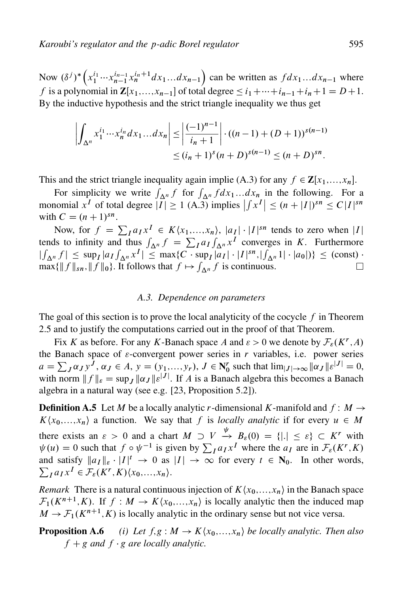Now  $(\delta^j)^*$   $($  $x_1^{i_1} \cdots x_{n-1}^{i_{n-1}} x_n^{i_n+1} dx_1 \ldots dx_{n-1}$  $\overline{ }$ can be written as  $fdx_1...dx_{n-1}$  where f is a polynomial in  $\mathbf{Z}[x_1,...,x_{n-1}]$  of total degree  $\leq i_1+\cdots+i_{n-1}+i_n+1=D+1$ . By the inductive hypothesis and the strict triangle inequality we thus get

$$
\left| \int_{\Delta^n} x_1^{i_1} \cdots x_n^{i_n} dx_1 \dots dx_n \right| \le \left| \frac{(-1)^{n-1}}{i_n + 1} \right| \cdot ((n-1) + (D+1))^{s(n-1)} \le (i_n + 1)^s (n+D)^{s(n-1)} \le (n+D)^{sn}.
$$

This and the strict triangle inequality again implie (A.3) for any  $f \in \mathbf{Z}[x_1,...,x_n]$ .

For simplicity we write  $\int_{\Delta^n} f$  for  $\int_{\Delta^n} f dx_1...dx_n$  in the following. For a monomial  $x^I$  of total degree  $|I| \ge 1$  (A.3) implies  $|f(x^I)| \le (n + |I|)^{sn} \le C|I|^{sn}$ with  $C = (n + 1)^{sn}$ .

Now, for  $f = \sum_I a_I x^I \in K\langle x_1,...,x_n \rangle$ ,  $|a_I| \cdot |I|^{sn}$  tends to zero when |I| tends to infinity and thus  $\int_{\Delta^n} f = \sum_I a_I \int_{\Delta^n} x^I$  converges in K. Furthermore  $\left|\int_{\Delta^n} f\right| \leq \sup_I |a_I f_{\Delta^n} x^I| \leq \max\{C \cdot \sup_I |a_I| \cdot |I|^{sn}, |f_{\Delta^n} 1| \cdot |a_0|\} \leq \text{(const)}$  $\max\{\|f\|_{sn}, \|f\|_{0}\}.$  It follows that  $f \mapsto \int_{\Delta^n} f$  is continuous.  $\Box$ 

### *A.3. Dependence on parameters*

The goal of this section is to prove the local analyticity of the cocycle  $f$  in Theorem 2.5 and to justify the computations carried out in the proof of that Theorem.

Fix K as before. For any K-Banach space A and  $\varepsilon > 0$  we denote by  $\mathcal{F}_{\varepsilon}(K^r, A)$ . the Banach space of  $\varepsilon$ -convergent power series in r variables, i.e. power series  $a = \sum_J \alpha_J y^J$ ,  $\alpha_J \in A$ ,  $y = (y_1,...,y_r)$ ,  $J \in \mathbb{N}_0^r$  such that  $\lim_{|J| \to \infty} ||\alpha_J|| \epsilon^{|J|} = 0$ , with norm  $|| f ||_{\varepsilon} = \sup_J ||\alpha_J || \varepsilon^{|J|}$ . If A is a Banach algebra this becomes a Banach algebra in a natural way (see e.g. [23, Proposition 5.2]).

**Definition A.5** Let M be a locally analytic r-dimensional K-manifold and  $f : M \rightarrow$  $K\langle x_0,...,x_n\rangle$  a function. We say that f is *locally analytic* if for every  $u \in M$ there exists an  $\varepsilon > 0$  and a chart  $M \supset V \stackrel{\psi}{\to} B_{\varepsilon}(0) = \{|.\| \leq \varepsilon\} \subset K^r$  with  $\psi(u) = 0$  such that  $f \circ \psi^{-1}$  is given by  $\sum_I a_I x^I$  where the  $a_I$  are in  $\mathcal{F}_\varepsilon(K^r, K)$ and satisfy  $||a_I||_{\varepsilon} \cdot |I|^t \to 0$  as  $|I| \to \infty$  for every  $t \in \mathbb{N}_0$ . In other words,  $\sum_{I} a_{I} x^{I} \in \mathcal{F}_{\varepsilon}(K^{r}, K)\langle x_{0},...,x_{n}\rangle.$ 

*Remark* There is a natural continuous injection of  $K\langle x_0,...,x_n \rangle$  in the Banach space  $\mathcal{F}_1(K^{n+1}, K)$ . If  $f : M \to K\langle x_0,...,x_n \rangle$  is locally analytic then the induced map  $M \to \mathcal{F}_1(K^{n+1}, K)$  is locally analytic in the ordinary sense but not vice versa.

**Proposition A.6** *(i) Let*  $f, g : M \to K\langle x_0,...,x_n \rangle$  *be locally analytic. Then also*  $f + g$  and  $f \cdot g$  are locally analytic.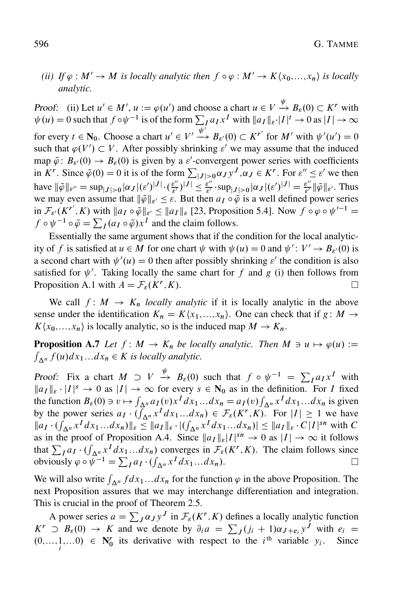## *(ii)* If  $\varphi : M' \to M$  is locally analytic then  $f \circ \varphi : M' \to K\langle x_0,...,x_n \rangle$  is locally *analytic.*

Proof: (ii) Let  $u' \in M'$ ,  $u := \varphi(u')$  and choose a chart  $u \in V \xrightarrow{\psi} B_{\varepsilon}(0) \subset K^r$  with  $\psi(u) = 0$  such that  $f \circ \psi^{-1}$  is of the form  $\sum_{I} a_{I} x^{I}$  with  $||a_{I}||_{\varepsilon} \cdot |I|^{t} \to 0$  as  $|I| \to \infty$ for every  $t \in N_0$ . Choose a chart  $u' \in V' \xrightarrow{\psi'} B_{\varepsilon'}(0) \subset K^{r'}$  for  $M'$  with  $\psi'(u') = 0$ such that  $\varphi(V') \subset V$ . After possibly shrinking  $\varepsilon'$  we may assume that the induced map  $\tilde{\varphi}$ :  $B_{\varepsilon}(0) \to B_{\varepsilon}(0)$  is given by a  $\varepsilon'$ -convergent power series with coefficients in K<sup>r</sup>. Since  $\tilde{\varphi}(0) = 0$  it is of the form  $\sum_{|J| > 0} \alpha_J y^J$ ,  $\alpha_J \in K^r$ . For  $\varepsilon'' \le \varepsilon'$  we then have  $\|\tilde{\varphi}\|_{\varepsilon''} = \sup_{|J|>0} |\alpha_J| (\varepsilon')^{|J|} \cdot (\frac{\varepsilon''}{\varepsilon'})^{|J|} \leq \frac{\varepsilon''}{\varepsilon'} \cdot \sup_{|J|>0} |\alpha_J| (\varepsilon')^{|J|} = \frac{\varepsilon''}{\varepsilon'} \|\tilde{\varphi}\|_{\varepsilon'}.$  Thus we may even assume that  $\|\tilde{\varphi}\|_{\varepsilon'} \leq \varepsilon$ . But then  $a_I \circ \tilde{\varphi}$  is a well defined power series in  $\mathcal{F}_{\varepsilon'}(K^{r'}, K)$  with  $\|a_I \circ \tilde{\varphi}\|_{\varepsilon'} \leq \|a_I\|_{\varepsilon}$  [23, Proposition 5.4]. Now  $f \circ \varphi \circ \psi'^{-1} =$  $f \circ \psi^{-1} \circ \tilde{\varphi} = \sum_I (a_I \circ \tilde{\varphi}) x^I$  and the claim follows.

Essentially the same argument shows that if the condition for the local analyticity of f is satisfied at  $u \in M$  for one chart  $\psi$  with  $\psi(u) = 0$  and  $\psi' : V' \to B_{\varepsilon'}(0)$  is a second chart with  $\psi'(u) = 0$  then after possibly shrinking  $\varepsilon'$  the condition is also satisfied for  $\psi'$ . Taking locally the same chart for f and g (i) then follows from Proposition A.1 with  $A = \mathcal{F}_{\varepsilon}(K^{r}, K)$ . П

We call  $f: M \to K_n$  *locally analytic* if it is locally analytic in the above sense under the identification  $K_n = K\langle x_1,...,x_n\rangle$ . One can check that if  $g : M \to$  $K\langle x_0,...,x_n\rangle$  is locally analytic, so is the induced map  $M \to K_n$ .

**Proposition A.7** Let  $f : M \to K_n$  be locally analytic. Then  $M \ni u \mapsto \varphi(u) :=$  $\int_{\Delta^n} f(u) dx_1...dx_n \in K$  *is locally analytic.* 

Proof: Fix a chart  $M \supset V \stackrel{\psi}{\rightarrow} B_{\varepsilon}(0)$  such that  $f \circ \psi^{-1} = \sum_I a_I x^I$  with  $||a_I||_{\varepsilon} \cdot |I|^s \to 0$  as  $|I| \to \infty$  for every  $s \in \mathbb{N}_0$  as in the definition. For I fixed the function  $B_{\varepsilon}(0) \ni v \mapsto \int_{\Delta^n} a_I(v) x^I dx_1...dx_n = a_I(v) \int_{\Delta^n} x^I dx_1...dx_n$  is given by the power series  $a_I \cdot (\int_{\Delta^n} x^I dx_1 \dots dx_n) \in \mathcal{F}_{\varepsilon}(K^r, K)$ . For  $|I| \ge 1$  we have  $||a_I \cdot (\int_{\Delta^n} x^I dx_1 ... dx_n)||_{\varepsilon} \leq ||a_I||_{\varepsilon} \cdot |(\int_{\Delta^n} x^I dx_1 ... dx_n)| \leq ||a_I||_{\varepsilon} \cdot C|I|^{sn}$  with C as in the proof of Proposition A.4. Since  $||a_I||_{\varepsilon}|I|^{sn} \to 0$  as  $|I| \to \infty$  it follows that  $\sum_{I} a_{I} \cdot (\int_{\Delta^n} x^I dx_1 ... dx_n)$  converges in  $\mathcal{F}_{\epsilon}(K^r, K)$ . The claim follows since obviously  $\varphi \circ \psi^{-1} = \sum_I a_I \cdot (\int_{\Delta^n} x^I dx_1 ... dx_n)$ .

We will also write  $\int_{\Delta^n} f dx_1...dx_n$  for the function  $\varphi$  in the above Proposition. The next Proposition assures that we may interchange differentiation and integration. This is crucial in the proof of Theorem 2.5.

A power series  $a = \sum_J \alpha_J y^J$  in  $\mathcal{F}_{\varepsilon}(K^r, K)$  defines a locally analytic function  $K^r \supset B_{\varepsilon}(0) \to K$  and we denote by  $\partial_i a = \sum_j (j_i + 1) \alpha_{J+e_i} y^J$  with  $e_i =$  $(0, \ldots, 1, \ldots, 0) \in \mathbb{N}_0^r$  its derivative with respect to the *i*<sup>th</sup> variable  $y_i$ . Since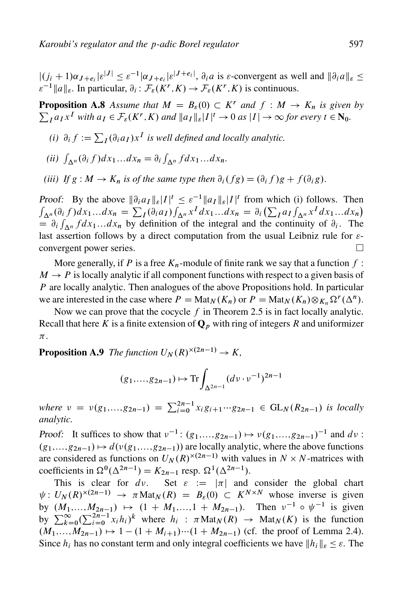$|(j_i + 1)\alpha_{J+e_i}| \varepsilon^{|J|} \leq \varepsilon^{-1} |\alpha_{J+e_i}| \varepsilon^{|J+e_i|}, \partial_i a$  is  $\varepsilon$ -convergent as well and  $||\partial_i a||_{\varepsilon} \leq$  $\epsilon^{-1} ||a||_{\epsilon}$ . In particular,  $\partial_i : \mathcal{F}_{\epsilon}(K^r, K) \to \mathcal{F}_{\epsilon}(K^r, K)$  is continuous.

**Proposition A.8** Assume that  $M = B_{\varepsilon}(0) \subset K^r$  and  $f : M \to K_n$  is given by  $\sum_{I} a_{I} x^{I}$  *with*  $a_{I} \in \mathcal{F}_{\varepsilon}(K^{r}, K)$  *and*  $||a_{I}||_{\varepsilon}|I|^{t} \to 0$  *as*  $|I| \to \infty$  for every  $t \in \mathbb{N}_{0}$ .

- *(i)*  $\partial_i f := \sum_I (\partial_i a_I) x^I$  *is well defined and locally analytic.*
- (*ii*)  $\int_{\Delta^n} (\partial_i f) dx_1...dx_n = \partial_i \int_{\Delta^n} f dx_1...dx_n$ .
- *(iii)* If  $g : M \to K_n$  *is of the same type then*  $\partial_i(fg) = (\partial_i f)g + f(\partial_i g)$ .

Proof: By the above  $\|\partial_i a_I \|_{\varepsilon} |I|^t \leq \varepsilon^{-1} \|a_I \|_{\varepsilon} |I|^t$  from which (i) follows. Then  $\int_{\Delta^n} (\partial_i f) dx_1...dx_n = \sum_I (\partial_i a_I) \int_{\Delta^n} x^I dx_1...dx_n = \partial_i (\sum_I a_I \int_{\Delta^n} x^I dx_1...dx_n)$  $\mathcal{L}_1^{\alpha_1}(\mathcal{L}_1^{\alpha_1})$  on  $\mathcal{L}_1^{\alpha_1}(\mathcal{L}_1^{\alpha_1})$   $\mathcal{L}_2^{\alpha_1}(\mathcal{L}_1^{\alpha_1})$   $\mathcal{L}_3^{\alpha_1}(\mathcal{L}_1^{\alpha_1})$   $\mathcal{L}_3^{\alpha_1}(\mathcal{L}_1^{\alpha_1})$   $\mathcal{L}_1^{\alpha_1}(\mathcal{L}_1^{\alpha_1})$ last assertion follows by a direct computation from the usual Leibniz rule for  $\varepsilon$ convergent power series. П

More generally, if P is a free  $K_n$ -module of finite rank we say that a function f:  $M \rightarrow P$  is locally analytic if all component functions with respect to a given basis of P are locally analytic. Then analogues of the above Propositions hold. In particular we are interested in the case where  $P = \text{Mat}_N(K_n)$  or  $P = \text{Mat}_N(K_n) \otimes_{K_n} \Omega^r(\Delta^n)$ .

Now we can prove that the cocycle  $f$  in Theorem 2.5 is in fact locally analytic. Recall that here K is a finite extension of  $\mathbf{Q}_p$  with ring of integers R and uniformizer  $\pi$ .

**Proposition A.9** The function  $U_N(R)^{\times(2n-1)} \to K$ ,

$$
(g_1,...,g_{2n-1}) \mapsto \text{Tr} \int_{\Delta^{2n-1}} (dv \cdot v^{-1})^{2n-1}
$$

where  $v = v(g_1,...,g_{2n-1}) = \sum_{i=0}^{2n-1} x_i g_{i+1} \cdots g_{2n-1} \in GL_N(R_{2n-1})$  is locally *analytic.*

*Proof:* It suffices to show that  $v^{-1}$ :  $(g_1,...,g_{2n-1}) \mapsto v(g_1,...,g_{2n-1})^{-1}$  and  $dv$ :  $(g_1,...,g_{2n-1}) \mapsto d(\nu(g_1,...,g_{2n-1}))$  are locally analytic, where the above functions are considered as functions on  $U_N(R)^{\times (2n-1)}$  with values in  $N \times N$ -matrices with coefficients in  $\Omega^0(\Delta^{2n-1}) = K_{2n-1}$  resp.  $\Omega^1(\Delta^{2n-1})$ .

This is clear for dv. Set  $\varepsilon := |\pi|$  and consider the global chart  $\psi: U_N(R)^{\times (2n-1)} \to \pi \text{Mat}_N(R) = B_{\varepsilon}(0) \subset K^{N \times N}$  whose inverse is given by  $(M_1,...,M_{2n-1}) \mapsto (1 + M_1,...,1 + M_{2n-1})$ . Then  $\nu^{-1} \circ \psi^{-1}$  is given by  $\sum_{k=0}^{\infty} (\sum_{i=0}^{n-1} x_i h_i)^k$  where  $h_i : \pi \text{Mat}_N(R) \rightarrow \text{Mat}_N(K)$  is the function  $(M_1,...,M_{2n-1}) \mapsto 1 - (1 + M_{i+1}) \cdots (1 + M_{2n-1})$  (cf. the proof of Lemma 2.4). Since  $h_i$  has no constant term and only integral coefficients we have  $||h_i||_{\varepsilon} \leq \varepsilon$ . The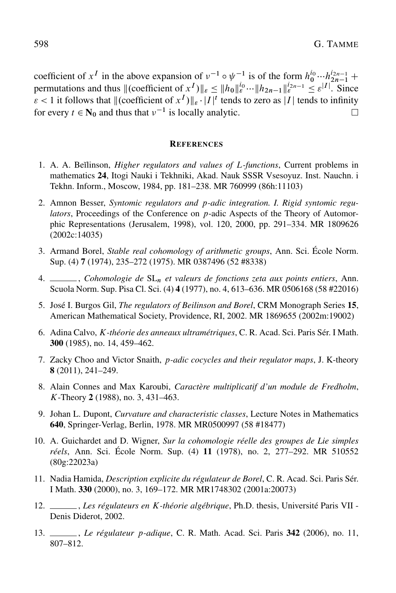coefficient of  $x^I$  in the above expansion of  $v^{-1} \circ \psi^{-1}$  is of the form  $h_0^{i_0} \cdots h_{2n-1}^{i_{2n-1}}$  + permutations and thus  $\|$ (coefficient of  $x^I$ ) $\|_{\varepsilon} \leq \|h_0\|_{\varepsilon}^{i_0} \cdots \|h_{2n-1}\|_{\varepsilon}^{i_{2n-1}} \leq \varepsilon^{|I|}$ . Since  $\varepsilon$  < 1 it follows that  $\|$  (coefficient of  $x^I$ ) $\|$  $\varepsilon$  ·  $|I|^t$  tends to zero as  $|I|$  tends to infinity for every  $t \in N_0$  and thus that  $v^{-1}$  is locally analytic.  $\Box$ 

#### **REFERENCES**

- 1. A. A. Be˘ılinson, *Higher regulators and values of* L*-functions*, Current problems in mathematics 24, Itogi Nauki i Tekhniki, Akad. Nauk SSSR Vsesoyuz. Inst. Nauchn. i Tekhn. Inform., Moscow, 1984, pp. 181–238. MR 760999 (86h:11103)
- 2. Amnon Besser, *Syntomic regulators and* p*-adic integration. I. Rigid syntomic regulators*, Proceedings of the Conference on p-adic Aspects of the Theory of Automorphic Representations (Jerusalem, 1998), vol. 120, 2000, pp. 291–334. MR 1809626 (2002c:14035)
- 3. Armand Borel, *Stable real cohomology of arithmetic groups*, Ann. Sci. École Norm. Sup. (4) 7 (1974), 235–272 (1975). MR 0387496 (52 #8338)
- 4. , *Cohomologie de* SL<sup>n</sup> *et valeurs de fonctions zeta aux points entiers*, Ann. Scuola Norm. Sup. Pisa Cl. Sci. (4) 4 (1977), no. 4, 613–636. MR 0506168 (58 #22016)
- 5. José I. Burgos Gil, *The regulators of Beilinson and Borel*, CRM Monograph Series 15, American Mathematical Society, Providence, RI, 2002. MR 1869655 (2002m:19002)
- 6. Adina Calvo, K*-théorie des anneaux ultramétriques*, C. R. Acad. Sci. Paris Sér. I Math. 300 (1985), no. 14, 459–462.
- 7. Zacky Choo and Victor Snaith, p*-adic cocycles and their regulator maps*, J. K-theory 8 (2011), 241–249.
- 8. Alain Connes and Max Karoubi, *Caractère multiplicatif d'un module de Fredholm*, K-Theory 2 (1988), no. 3, 431–463.
- 9. Johan L. Dupont, *Curvature and characteristic classes*, Lecture Notes in Mathematics 640, Springer-Verlag, Berlin, 1978. MR MR0500997 (58 #18477)
- 10. A. Guichardet and D. Wigner, *Sur la cohomologie réelle des groupes de Lie simples réels*, Ann. Sci. École Norm. Sup. (4) 11 (1978), no. 2, 277–292. MR 510552 (80g:22023a)
- 11. Nadia Hamida, *Description explicite du régulateur de Borel*, C. R. Acad. Sci. Paris Sér. I Math. 330 (2000), no. 3, 169–172. MR MR1748302 (2001a:20073)
- 12. , *Les régulateurs en* K*-théorie algébrique*, Ph.D. thesis, Université Paris VII Denis Diderot, 2002.
- 13. , *Le régulateur* p*-adique*, C. R. Math. Acad. Sci. Paris 342 (2006), no. 11, 807–812.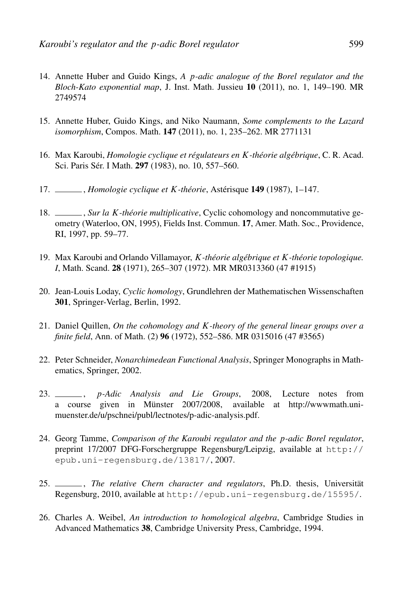- 14. Annette Huber and Guido Kings, *A* p*-adic analogue of the Borel regulator and the Bloch-Kato exponential map*, J. Inst. Math. Jussieu 10 (2011), no. 1, 149–190. MR 2749574
- 15. Annette Huber, Guido Kings, and Niko Naumann, *Some complements to the Lazard isomorphism*, Compos. Math. 147 (2011), no. 1, 235–262. MR 2771131
- 16. Max Karoubi, *Homologie cyclique et régulateurs en* K*-théorie algébrique*, C. R. Acad. Sci. Paris Sér. I Math. 297 (1983), no. 10, 557–560.
- 17. , *Homologie cyclique et* K*-théorie*, Astérisque 149 (1987), 1–147.
- 18. , *Sur la* K*-théorie multiplicative*, Cyclic cohomology and noncommutative geometry (Waterloo, ON, 1995), Fields Inst. Commun. 17, Amer. Math. Soc., Providence, RI, 1997, pp. 59–77.
- 19. Max Karoubi and Orlando Villamayor, K*-théorie algébrique et* K*-théorie topologique. I*, Math. Scand. 28 (1971), 265–307 (1972). MR MR0313360 (47 #1915)
- 20. Jean-Louis Loday, *Cyclic homology*, Grundlehren der Mathematischen Wissenschaften 301, Springer-Verlag, Berlin, 1992.
- 21. Daniel Quillen, *On the cohomology and* K*-theory of the general linear groups over a finite field*, Ann. of Math. (2) 96 (1972), 552–586. MR 0315016 (47 #3565)
- 22. Peter Schneider, *Nonarchimedean Functional Analysis*, Springer Monographs in Mathematics, Springer, 2002.
- 23. , p*-Adic Analysis and Lie Groups*, 2008, Lecture notes from a course given in Münster 2007/2008, available at http://wwwmath.unimuenster.de/u/pschnei/publ/lectnotes/p-adic-analysis.pdf.
- 24. Georg Tamme, *Comparison of the Karoubi regulator and the* p*-adic Borel regulator*, preprint 17/2007 DFG-Forschergruppe Regensburg/Leipzig, available at http:// epub.uni-regensburg.de/13817/, 2007.
- 25. , *The relative Chern character and regulators*, Ph.D. thesis, Universität Regensburg, 2010, available at http://epub.uni-regensburg.de/15595/.
- 26. Charles A. Weibel, *An introduction to homological algebra*, Cambridge Studies in Advanced Mathematics 38, Cambridge University Press, Cambridge, 1994.